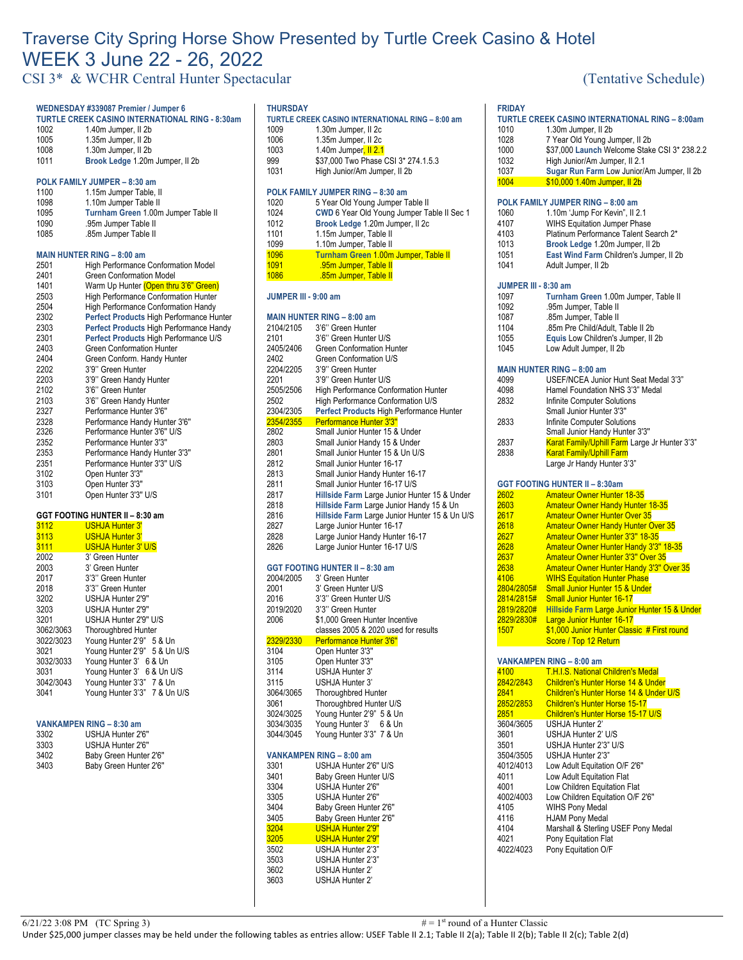# Traverse City Spring Horse Show Presented by Turtle Creek Casino & Hotel WEEK 3 June 22 - 26, 2022

CSI 3\* & WCHR Central Hunter Spectacular (Tentative Schedule)

|                        | WEDNESDAY #339087 Premier / Jumper 6                                     |
|------------------------|--------------------------------------------------------------------------|
|                        | <b>TURTLE CREEK CASINO INTERNATIONAL RING - 8:30am</b>                   |
| 1002                   | 1.40m Jumper, II 2b                                                      |
| 1005                   | 1.35m Jumper, II 2b                                                      |
| 1008                   | 1.30m Jumper, II 2b                                                      |
| 1011                   | Brook Ledge 1.20m Jumper, II 2b                                          |
|                        | POLK FAMILY JUMPER - 8:30 am                                             |
| 1100                   | 1.15m Jumper Table, II                                                   |
| 1098                   | 1.10m Jumper Table II                                                    |
| 1095                   | Turnham Green 1.00m Jumper Table II                                      |
| 1090                   | .95m Jumper Table II                                                     |
| 1085                   | .85m Jumper Table II                                                     |
|                        |                                                                          |
| 2501                   | <b>MAIN HUNTER RING - 8:00 am</b><br>High Performance Conformation Model |
| 2401                   | Green Conformation Model                                                 |
| 1401                   | Warm Up Hunter (Open thru 3'6" Green)                                    |
| 2503                   | <b>High Performance Conformation Hunter</b>                              |
| 2504                   | <b>High Performance Conformation Handy</b>                               |
| 2302                   | Perfect Products High Performance Hunter                                 |
| 2303                   | Perfect Products High Performance Handy                                  |
| 2301                   | Perfect Products High Performance U/S                                    |
| 2403                   | <b>Green Conformation Hunter</b>                                         |
| 2404                   | Green Conform. Handy Hunter                                              |
| 2202                   | 3'9" Green Hunter                                                        |
| 2203                   | 3'9" Green Handy Hunter                                                  |
| 2102                   | 3'6" Green Hunter                                                        |
| 2103                   | 3'6" Green Handy Hunter                                                  |
| 2327                   | Performance Hunter 3'6"                                                  |
| 2328                   | Performance Handy Hunter 3'6"                                            |
| 2326                   | Performance Hunter 3'6" U/S                                              |
| 2352                   | Performance Hunter 3'3"                                                  |
| 2353                   | Performance Handy Hunter 3'3"                                            |
| 2351                   | Performance Hunter 3'3" U/S                                              |
| 3102                   | Open Hunter 3'3"                                                         |
| 3103                   | Open Hunter 3'3"                                                         |
| 3101                   | Open Hunter 3'3" U/S                                                     |
|                        | GGT FOOTING HUNTER II - 8:30 am                                          |
| 3112                   | <b>USHJA Hunter 3'</b>                                                   |
| 3113                   | <b>USHJA Hunter 3'</b>                                                   |
| 3111                   | <b>USHJA Hunter 3' U/S</b>                                               |
| 2002                   | 3' Green Hunter                                                          |
| 2003                   | 3' Green Hunter                                                          |
| 2017                   | 3'3" Green Hunter                                                        |
| 2018                   | 3'3" Green Hunter                                                        |
| 3202                   | USHJA Hunter 2'9"                                                        |
| 3203                   | USHJA Hunter 2'9"                                                        |
| 3201                   | USHJA Hunter 2'9" U/S                                                    |
| 3062/3063<br>3022/3023 | <b>Thoroughbred Hunter</b><br>Young Hunter 2'9"<br>5 & Un                |
|                        |                                                                          |

| 3021      | Young Hunter 2'9" 5 & Un U/S |
|-----------|------------------------------|
| 3032/3033 | Young Hunter 3' 6 & Un       |
| 3031      | Young Hunter 3' 6 & Un U/S   |
| 3042/3043 | Young Hunter 3'3" 7 & Un     |
| 3041      | Young Hunter 3'3" 7 & Un U/S |
|           |                              |
|           |                              |

## **VANKAMPEN RING – 8:30 am**

| 3302 | USHJA Hunter 2'6"      |
|------|------------------------|
| 3303 | USHJA Hunter 2'6"      |
| 3402 | Baby Green Hunter 2'6" |
| 3403 | Baby Green Hunter 2'6" |
|      |                        |

### **THURSDAY**

|      | TURTLE CREEK CASINO INTERNATIONAL RING – 8:00 am |  |  |
|------|--------------------------------------------------|--|--|
| 1009 | 1.30m Jumper, II 2c                              |  |  |

**FRIDAY**

| טטו  | <b>1.JUIII JUIIIµCI, II ZU</b> |
|------|--------------------------------|
| 1006 | 1.35m Jumper, II 2c            |

- 1003 1.40m Jumper<mark>, II 2.1</mark><br>999 \$37,000 Two Phase ( 999 \$37,000 Two Phase CSI 3\* 274.1.5.3<br>1031 High Junior/Am Jumper, II 2b
	- High Junior/Am Jumper, II 2b

#### **POLK FAMILY JUMPER RING – 8:30 am**

| 1020 | 5 Year Old Young Jumper Table II           |
|------|--------------------------------------------|
| 1024 | CWD 6 Year Old Young Jumper Table II Sec 1 |
| 1012 | Brook Ledge 1.20m Jumper, II 2c            |
| 1101 | 1.15m Jumper, Table II                     |
| 1099 | 1.10m Jumper, Table II                     |
| 1096 | Turnham Green 1.00m Jumper, Table II       |
| 1091 | .95m Jumper, Table II                      |
| 1086 | .85m Jumper, Table II                      |
|      |                                            |

#### **JUMPER III - 9:00 am**

|           | <b>MAIN HUNTER RING - 8:00 am</b>             |
|-----------|-----------------------------------------------|
| 2104/2105 | 3'6" Green Hunter                             |
| 2101      | 3'6" Green Hunter U/S                         |
| 2405/2406 | <b>Green Conformation Hunter</b>              |
| 2402      | Green Conformation U/S                        |
| 2204/2205 | 3'9" Green Hunter                             |
| 2201      | 3'9" Green Hunter U/S                         |
| 2505/2506 | High Performance Conformation Hunter          |
| 2502      | High Performance Conformation U/S             |
| 2304/2305 | Perfect Products High Performance Hunter      |
| 2354/2355 | Performance Hunter 3'3"                       |
| 2802      | Small Junior Hunter 15 & Under                |
| 2803      | Small Junior Handy 15 & Under                 |
| 2801      | Small Junior Hunter 15 & Un U/S               |
| 2812      | Small Junior Hunter 16-17                     |
| 2813      | Small Junior Handy Hunter 16-17               |
| 2811      | Small Junior Hunter 16-17 U/S                 |
| 2817      | Hillside Farm Large Junior Hunter 15 & Under  |
| 2818      | Hillside Farm Large Junior Handy 15 & Un      |
| 2816      | Hillside Farm Large Junior Hunter 15 & Un U/S |
| 2827      | Large Junior Hunter 16-17                     |
| 2828      | Large Junior Handy Hunter 16-17               |
| 2826      | Large Junior Hunter 16-17 U/S                 |

#### **GGT FOOTING HUNTER II – 8:30 am**

| 2004/2005 | 3' Green Hunter                      |
|-----------|--------------------------------------|
| 2001      | 3' Green Hunter U/S                  |
| 2016      | 3'3" Green Hunter U/S                |
| 2019/2020 | 3'3" Green Hunter                    |
| 2006      | \$1,000 Green Hunter Incentive       |
|           | classes 2005 & 2020 used for results |
| 2329/2330 | Performance Hunter 3'6"              |
| 3104      | Open Hunter 3'3"                     |
| 3105      | Open Hunter 3'3"                     |
| 3114      | USHJA Hunter 3'                      |
| 3115      | USHJA Hunter 3'                      |
| 3064/3065 | <b>Thoroughbred Hunter</b>           |
| 3061      | Thoroughbred Hunter U/S              |
| 3024/3025 | Young Hunter 2'9" 5 & Un             |
| 3034/3035 | Young Hunter 3' 6 & Un               |
| 3044/3045 | Young Hunter 3'3" 7 & Un             |
|           |                                      |
|           | VANKAMPEN RING - 8:00 am             |
| 3301      | USHJA Hunter 2'6" U/S                |
| 3401      | Baby Green Hunter U/S                |
| 3304      | USHJA Hunter 2'6"                    |
| 3305      | USHJA Hunter 2'6"                    |

| J4U I | <b>DAVY OTECH FIGHTER UPS</b> |
|-------|-------------------------------|
| 3304  | USHJA Hunter 2'6"             |
| 3305  | USHJA Hunter 2'6"             |
| 3404  | Baby Green Hunter 2'6"        |
| 3405  | Baby Green Hunter 2'6"        |
| 3204  | <b>USHJA Hunter 2'9"</b>      |
| 3205  | <b>USHJA Hunter 2'9"</b>      |
| 3502  | USHJA Hunter 2'3"             |
| 3503  | USHJA Hunter 2'3"             |
| 3602  | USHJA Hunter 2'               |
| 3603  | USHJA Hunter 2'               |

| <b>FRIDAY</b>        |                                                                            |
|----------------------|----------------------------------------------------------------------------|
|                      | TURTLE CREEK CASINO INTERNATIONAL RING - 8:00am                            |
| 1010                 | 1.30m Jumper, II 2b                                                        |
| 1028                 | 7 Year Old Young Jumper, II 2b                                             |
| 1000                 | \$37,000 Launch Welcome Stake CSI 3* 238.2.2                               |
| 1032                 | High Junior/Am Jumper, II 2.1                                              |
| 1037                 | Sugar Run Farm Low Junior/Am Jumper, II 2b                                 |
| 1004                 | \$10,000 1.40m Jumper, II 2b                                               |
|                      | POLK FAMILY JUMPER RING - 8:00 am                                          |
| 1060                 | 1.10m 'Jump For Kevin", II 2.1                                             |
| 4107                 | <b>WIHS Equitation Jumper Phase</b>                                        |
| 4103                 | Platinum Performance Talent Search 2*                                      |
| 1013                 | Brook Ledge 1.20m Jumper, II 2b                                            |
| 1051                 | East Wind Farm Children's Jumper, II 2b                                    |
| 1041                 | Adult Jumper, II 2b                                                        |
|                      |                                                                            |
| JUMPER III - 8:30 am |                                                                            |
| 1097                 | Turnham Green 1.00m Jumper, Table II                                       |
| 1092                 | .95m Jumper, Table II                                                      |
| 1087                 | .85m Jumper, Table II                                                      |
| 1104                 | .85m Pre Child/Adult, Table II 2b                                          |
| 1055                 | Equis Low Children's Jumper, II 2b                                         |
| 1045                 | Low Adult Jumper, II 2b                                                    |
|                      |                                                                            |
| 4099                 | <b>MAIN HUNTER RING - 8:00 am</b><br>USEF/NCEA Junior Hunt Seat Medal 3'3" |
| 4098                 | Hamel Foundation NHS 3'3" Medal                                            |
| 2832                 | Infinite Computer Solutions                                                |
|                      | Small Junior Hunter 3'3"                                                   |
| 2833                 | Infinite Computer Solutions                                                |
|                      | Small Junior Handy Hunter 3'3"                                             |
| 2837                 | Karat Family/Uphill Farm Large Jr Hunter 3'3"                              |
| 2838                 | <b>Karat Family/Uphill Farm</b>                                            |
|                      | Large Jr Handy Hunter 3'3"                                                 |
|                      |                                                                            |
|                      | <b>GGT FOOTING HUNTER II - 8:30am</b>                                      |
| 2602                 | <b>Amateur Owner Hunter 18-35</b>                                          |
| 2603                 | <b>Amateur Owner Handy Hunter 18-35</b>                                    |
| 2617                 | <b>Amateur Owner Hunter Over 35</b>                                        |
| <mark>2618</mark>    | <b>Amateur Owner Handy Hunter Over 35</b>                                  |
| 2627                 | Amateur Owner Hunter 3'3" 18-35                                            |
| 2628<br>2637         | Amateur Owner Hunter Handy 3'3" 18-35<br>Amateur Owner Hunter 3'3" Over 35 |
| 2638                 | <b>Amateur Owner Hunter Handy 3'3" Over 35</b>                             |
| 4106                 | <b>WIHS Equitation Hunter Phase</b>                                        |
| 2804/2805#           | <b>Small Junior Hunter 15 &amp; Under</b>                                  |
| 2814/2815#           | <b>Small Junior Hunter 16-17</b>                                           |
| 2819/2820#           | Hillside Farm Large Junior Hunter 15 & Under                               |
| 2829/2830#           | Large Junior Hunter 16-17                                                  |
| 1507                 | \$1,000 Junior Hunter Classic # First round                                |
|                      | Score / Top 12 Return                                                      |
|                      |                                                                            |
|                      | VANKAMPEN RING - 8:00 am                                                   |
| 4100                 | T.H.I.S. National Children's Medal                                         |
| 2842/2843            | Children's Hunter Horse 14 & Under                                         |
| 2841                 | Children's Hunter Horse 14 & Under U/S                                     |
| 2852/2853<br>2851    | <b>Children's Hunter Horse 15-17</b>                                       |
| 3604/3605            | Children's Hunter Horse 15-17 U/S<br>USHJA Hunter 2'                       |
| 3601                 | USHJA Hunter 2' U/S                                                        |
| 3501                 | USHJA Hunter 2'3" U/S                                                      |
| 3504/3505            | USHJA Hunter 2'3"                                                          |
| 4012/4013            | Low Adult Equitation O/F 2'6"                                              |
| 4011                 | Low Adult Equitation Flat                                                  |
| 4001                 | Low Children Equitation Flat                                               |
| 4002/4003            | Low Children Equitation O/F 2'6"                                           |
| 4105                 | WIHS Pony Medal                                                            |
| 4116                 | HJAM Pony Medal                                                            |
|                      |                                                                            |
| 4104                 | Marshall & Sterling USEF Pony Medal                                        |
|                      | Pony Equitation Flat                                                       |
| 4021<br>4022/4023    | Pony Equitation O/F                                                        |